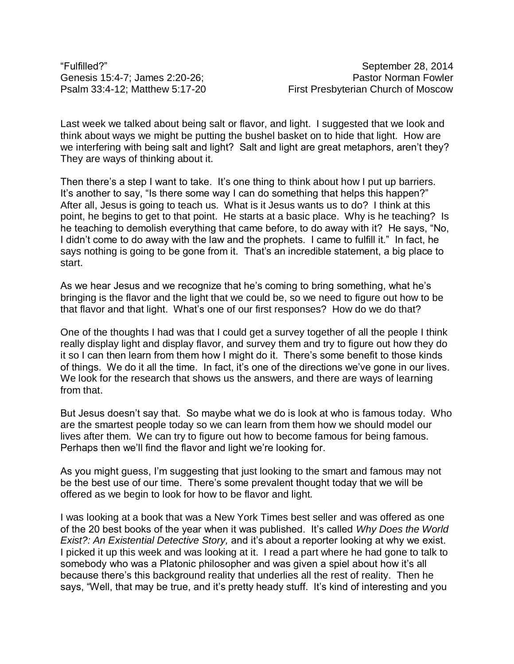Last week we talked about being salt or flavor, and light. I suggested that we look and think about ways we might be putting the bushel basket on to hide that light. How are we interfering with being salt and light? Salt and light are great metaphors, aren't they? They are ways of thinking about it.

Then there's a step I want to take. It's one thing to think about how I put up barriers. It's another to say, "Is there some way I can do something that helps this happen?" After all, Jesus is going to teach us. What is it Jesus wants us to do? I think at this point, he begins to get to that point. He starts at a basic place. Why is he teaching? Is he teaching to demolish everything that came before, to do away with it? He says, "No, I didn't come to do away with the law and the prophets. I came to fulfill it." In fact, he says nothing is going to be gone from it. That's an incredible statement, a big place to start.

As we hear Jesus and we recognize that he's coming to bring something, what he's bringing is the flavor and the light that we could be, so we need to figure out how to be that flavor and that light. What's one of our first responses? How do we do that?

One of the thoughts I had was that I could get a survey together of all the people I think really display light and display flavor, and survey them and try to figure out how they do it so I can then learn from them how I might do it. There's some benefit to those kinds of things. We do it all the time. In fact, it's one of the directions we've gone in our lives. We look for the research that shows us the answers, and there are ways of learning from that.

But Jesus doesn't say that. So maybe what we do is look at who is famous today. Who are the smartest people today so we can learn from them how we should model our lives after them. We can try to figure out how to become famous for being famous. Perhaps then we'll find the flavor and light we're looking for.

As you might guess, I'm suggesting that just looking to the smart and famous may not be the best use of our time. There's some prevalent thought today that we will be offered as we begin to look for how to be flavor and light.

I was looking at a book that was a New York Times best seller and was offered as one of the 20 best books of the year when it was published. It's called *Why Does the World Exist?: An Existential Detective Story,* and it's about a reporter looking at why we exist. I picked it up this week and was looking at it. I read a part where he had gone to talk to somebody who was a Platonic philosopher and was given a spiel about how it's all because there's this background reality that underlies all the rest of reality. Then he says, "Well, that may be true, and it's pretty heady stuff. It's kind of interesting and you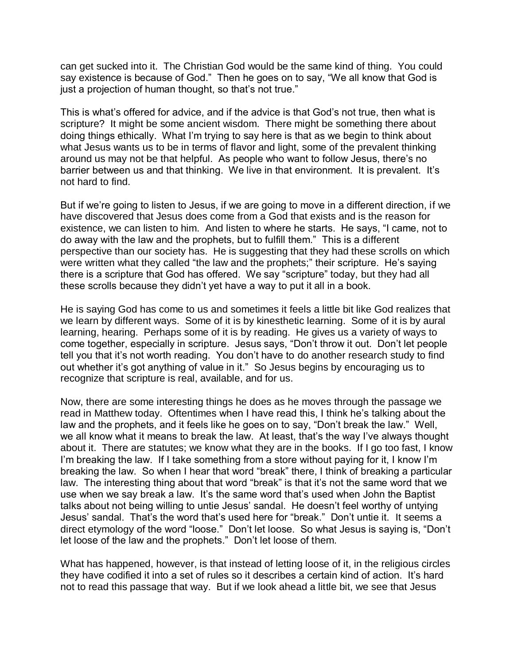can get sucked into it. The Christian God would be the same kind of thing. You could say existence is because of God." Then he goes on to say, "We all know that God is just a projection of human thought, so that's not true."

This is what's offered for advice, and if the advice is that God's not true, then what is scripture? It might be some ancient wisdom. There might be something there about doing things ethically. What I'm trying to say here is that as we begin to think about what Jesus wants us to be in terms of flavor and light, some of the prevalent thinking around us may not be that helpful. As people who want to follow Jesus, there's no barrier between us and that thinking. We live in that environment. It is prevalent. It's not hard to find.

But if we're going to listen to Jesus, if we are going to move in a different direction, if we have discovered that Jesus does come from a God that exists and is the reason for existence, we can listen to him. And listen to where he starts. He says, "I came, not to do away with the law and the prophets, but to fulfill them." This is a different perspective than our society has. He is suggesting that they had these scrolls on which were written what they called "the law and the prophets;" their scripture. He's saying there is a scripture that God has offered. We say "scripture" today, but they had all these scrolls because they didn't yet have a way to put it all in a book.

He is saying God has come to us and sometimes it feels a little bit like God realizes that we learn by different ways. Some of it is by kinesthetic learning. Some of it is by aural learning, hearing. Perhaps some of it is by reading. He gives us a variety of ways to come together, especially in scripture. Jesus says, "Don't throw it out. Don't let people tell you that it's not worth reading. You don't have to do another research study to find out whether it's got anything of value in it." So Jesus begins by encouraging us to recognize that scripture is real, available, and for us.

Now, there are some interesting things he does as he moves through the passage we read in Matthew today. Oftentimes when I have read this, I think he's talking about the law and the prophets, and it feels like he goes on to say, "Don't break the law." Well, we all know what it means to break the law. At least, that's the way I've always thought about it. There are statutes; we know what they are in the books. If I go too fast, I know I'm breaking the law. If I take something from a store without paying for it, I know I'm breaking the law. So when I hear that word "break" there, I think of breaking a particular law. The interesting thing about that word "break" is that it's not the same word that we use when we say break a law. It's the same word that's used when John the Baptist talks about not being willing to untie Jesus' sandal. He doesn't feel worthy of untying Jesus' sandal. That's the word that's used here for "break." Don't untie it. It seems a direct etymology of the word "loose." Don't let loose. So what Jesus is saying is, "Don't let loose of the law and the prophets." Don't let loose of them.

What has happened, however, is that instead of letting loose of it, in the religious circles they have codified it into a set of rules so it describes a certain kind of action. It's hard not to read this passage that way. But if we look ahead a little bit, we see that Jesus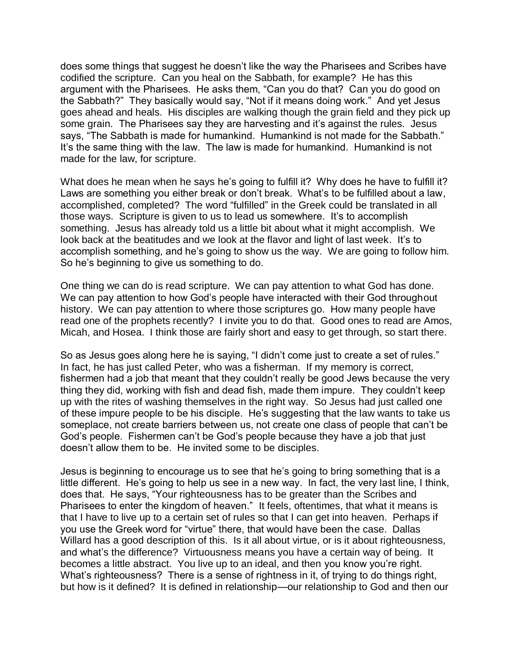does some things that suggest he doesn't like the way the Pharisees and Scribes have codified the scripture. Can you heal on the Sabbath, for example? He has this argument with the Pharisees. He asks them, "Can you do that? Can you do good on the Sabbath?" They basically would say, "Not if it means doing work." And yet Jesus goes ahead and heals. His disciples are walking though the grain field and they pick up some grain. The Pharisees say they are harvesting and it's against the rules. Jesus says, "The Sabbath is made for humankind. Humankind is not made for the Sabbath." It's the same thing with the law. The law is made for humankind. Humankind is not made for the law, for scripture.

What does he mean when he says he's going to fulfill it? Why does he have to fulfill it? Laws are something you either break or don't break. What's to be fulfilled about a law, accomplished, completed? The word "fulfilled" in the Greek could be translated in all those ways. Scripture is given to us to lead us somewhere. It's to accomplish something. Jesus has already told us a little bit about what it might accomplish. We look back at the beatitudes and we look at the flavor and light of last week. It's to accomplish something, and he's going to show us the way. We are going to follow him. So he's beginning to give us something to do.

One thing we can do is read scripture. We can pay attention to what God has done. We can pay attention to how God's people have interacted with their God throughout history. We can pay attention to where those scriptures go. How many people have read one of the prophets recently? I invite you to do that. Good ones to read are Amos, Micah, and Hosea. I think those are fairly short and easy to get through, so start there.

So as Jesus goes along here he is saying, "I didn't come just to create a set of rules." In fact, he has just called Peter, who was a fisherman. If my memory is correct, fishermen had a job that meant that they couldn't really be good Jews because the very thing they did, working with fish and dead fish, made them impure. They couldn't keep up with the rites of washing themselves in the right way. So Jesus had just called one of these impure people to be his disciple. He's suggesting that the law wants to take us someplace, not create barriers between us, not create one class of people that can't be God's people. Fishermen can't be God's people because they have a job that just doesn't allow them to be. He invited some to be disciples.

Jesus is beginning to encourage us to see that he's going to bring something that is a little different. He's going to help us see in a new way. In fact, the very last line, I think, does that. He says, "Your righteousness has to be greater than the Scribes and Pharisees to enter the kingdom of heaven." It feels, oftentimes, that what it means is that I have to live up to a certain set of rules so that I can get into heaven. Perhaps if you use the Greek word for "virtue" there, that would have been the case. Dallas Willard has a good description of this. Is it all about virtue, or is it about righteousness, and what's the difference? Virtuousness means you have a certain way of being. It becomes a little abstract. You live up to an ideal, and then you know you're right. What's righteousness? There is a sense of rightness in it, of trying to do things right, but how is it defined? It is defined in relationship—our relationship to God and then our